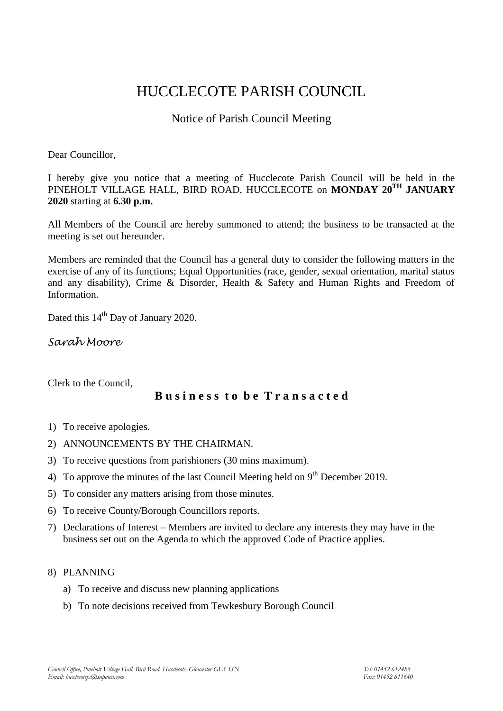# HUCCLECOTE PARISH COUNCIL

# Notice of Parish Council Meeting

Dear Councillor,

I hereby give you notice that a meeting of Hucclecote Parish Council will be held in the PINEHOLT VILLAGE HALL, BIRD ROAD, HUCCLECOTE on **MONDAY 20TH JANUARY 2020** starting at **6.30 p.m.**

All Members of the Council are hereby summoned to attend; the business to be transacted at the meeting is set out hereunder.

Members are reminded that the Council has a general duty to consider the following matters in the exercise of any of its functions; Equal Opportunities (race, gender, sexual orientation, marital status and any disability), Crime & Disorder, Health & Safety and Human Rights and Freedom of Information.

Dated this 14<sup>th</sup> Day of January 2020.

*Sarah Moore*

Clerk to the Council,

## **B u s i n e s s t o b e T r a n s a c t e d**

- 1) To receive apologies.
- 2) ANNOUNCEMENTS BY THE CHAIRMAN.
- 3) To receive questions from parishioners (30 mins maximum).
- 4) To approve the minutes of the last Council Meeting held on  $9<sup>th</sup>$  December 2019.
- 5) To consider any matters arising from those minutes.
- 6) To receive County/Borough Councillors reports.
- 7) Declarations of Interest Members are invited to declare any interests they may have in the business set out on the Agenda to which the approved Code of Practice applies.

#### 8) PLANNING

- a) To receive and discuss new planning applications
- b) To note decisions received from Tewkesbury Borough Council